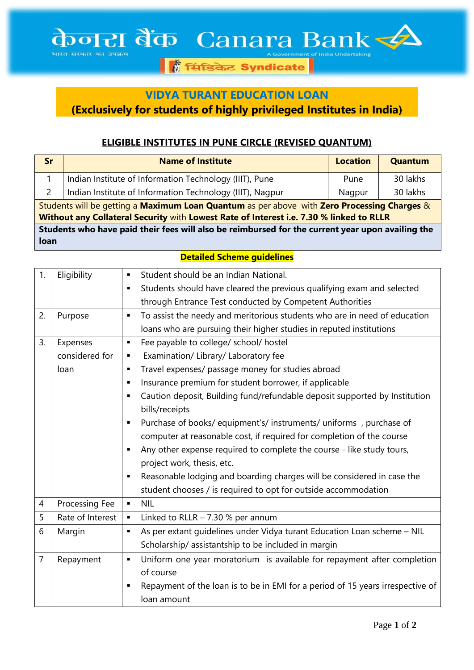│ सिँ सिंडिकेट Syndicate

## **VIDYA TURANT EDUCATION LOAN (Exclusively for students of highly privileged Institutes in India)**

## **ELIGIBLE INSTITUTES IN PUNE CIRCLE (REVISED QUANTUM)**

| Sr                                                                                                                                                                                        | <b>Name of Institute</b>                                  | <b>Location</b> | Quantum  |  |  |
|-------------------------------------------------------------------------------------------------------------------------------------------------------------------------------------------|-----------------------------------------------------------|-----------------|----------|--|--|
|                                                                                                                                                                                           | Indian Institute of Information Technology (IIIT), Pune   | Pune            | 30 lakhs |  |  |
| $\mathbf{2}$                                                                                                                                                                              | Indian Institute of Information Technology (IIIT), Nagpur | Nagpur          | 30 lakhs |  |  |
| Students will be getting a Maximum Loan Quantum as per above with Zero Processing Charges $\&$<br>Without any Collateral Security with Lowest Rate of Interest i.e. 7.30 % linked to RLLR |                                                           |                 |          |  |  |
| Students who have paid their fees will also be reimbursed for the current year upon availing the<br><b>loan</b>                                                                           |                                                           |                 |          |  |  |

## **Detailed Scheme guidelines**

| 1.             | Eligibility      | Student should be an Indian National.<br>Ξ                                          |
|----------------|------------------|-------------------------------------------------------------------------------------|
|                |                  | Students should have cleared the previous qualifying exam and selected<br>П         |
|                |                  | through Entrance Test conducted by Competent Authorities                            |
| 2.             | Purpose          | To assist the needy and meritorious students who are in need of education<br>٠      |
|                |                  | loans who are pursuing their higher studies in reputed institutions                 |
| 3.             | Expenses         | Fee payable to college/ school/ hostel<br>٠                                         |
|                | considered for   | Examination/ Library/ Laboratory fee<br>٠                                           |
|                | loan             | Travel expenses/ passage money for studies abroad<br>٠                              |
|                |                  | Insurance premium for student borrower, if applicable<br>П                          |
|                |                  | Caution deposit, Building fund/refundable deposit supported by Institution<br>Е     |
|                |                  | bills/receipts                                                                      |
|                |                  | Purchase of books/ equipment's/ instruments/ uniforms, purchase of<br>Ξ             |
|                |                  | computer at reasonable cost, if required for completion of the course               |
|                |                  | Any other expense required to complete the course - like study tours,<br>П          |
|                |                  | project work, thesis, etc.                                                          |
|                |                  | Reasonable lodging and boarding charges will be considered in case the<br>٠         |
|                |                  | student chooses / is required to opt for outside accommodation                      |
| $\overline{4}$ | Processing Fee   | <b>NIL</b><br>$\blacksquare$                                                        |
| 5              | Rate of Interest | Linked to RLLR $- 7.30$ % per annum<br>٠                                            |
| 6              | Margin           | As per extant quidelines under Vidya turant Education Loan scheme - NIL<br>Ξ        |
|                |                  | Scholarship/assistantship to be included in margin                                  |
| $\overline{7}$ | Repayment        | Uniform one year moratorium is available for repayment after completion<br>٠        |
|                |                  | of course                                                                           |
|                |                  | Repayment of the loan is to be in EMI for a period of 15 years irrespective of<br>П |
|                |                  | loan amount                                                                         |
|                |                  |                                                                                     |